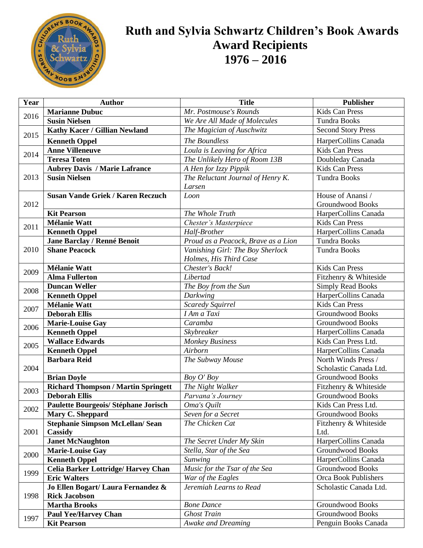

## Ruth and Sylvia Schwartz Children's Book Awards  **Award Recipients 1976 – 2016**

| Year | <b>Author</b>                                       | <b>Title</b>                                                                                                                                                                                                                                                                                                                                                                                                                                                                                                                                                                                                                                                                                                                                                                        | <b>Publisher</b>                           |
|------|-----------------------------------------------------|-------------------------------------------------------------------------------------------------------------------------------------------------------------------------------------------------------------------------------------------------------------------------------------------------------------------------------------------------------------------------------------------------------------------------------------------------------------------------------------------------------------------------------------------------------------------------------------------------------------------------------------------------------------------------------------------------------------------------------------------------------------------------------------|--------------------------------------------|
|      | <b>Marianne Dubuc</b>                               | Mr. Postmouse's Rounds                                                                                                                                                                                                                                                                                                                                                                                                                                                                                                                                                                                                                                                                                                                                                              | <b>Kids Can Press</b>                      |
| 2016 | <b>Susin Nielsen</b>                                | We Are All Made of Molecules                                                                                                                                                                                                                                                                                                                                                                                                                                                                                                                                                                                                                                                                                                                                                        | <b>Tundra Books</b>                        |
|      | Kathy Kacer / Gillian Newland                       | The Magician of Auschwitz<br>The Boundless<br>Loula is Leaving for Africa<br>The Unlikely Hero of Room 13B<br>A Hen for Izzy Pippik<br>The Reluctant Journal of Henry K.<br>Larsen<br>Loon<br>The Whole Truth<br>Chester's Masterpiece<br>Half-Brother<br>Proud as a Peacock, Brave as a Lion<br>Vanishing Girl: The Boy Sherlock<br>Holmes, His Third Case<br>Chester's Back!<br>Libertad<br>The Boy from the Sun<br>Darkwing<br><b>Scaredy Squirrel</b><br>I Am a Taxi<br>Caramba<br>Skybreaker<br><b>Monkey Business</b><br>Airborn<br>The Subway Mouse<br>Boy O' Boy<br>The Night Walker<br>Parvana's Journey<br>Oma's Quilt<br>Seven for a Secret<br>The Chicken Cat<br>The Secret Under My Skin<br>Stella, Star of the Sea<br><b>Sunwing</b><br>Music for the Tsar of the Sea | <b>Second Story Press</b>                  |
| 2015 | <b>Kenneth Oppel</b>                                |                                                                                                                                                                                                                                                                                                                                                                                                                                                                                                                                                                                                                                                                                                                                                                                     | HarperCollins Canada                       |
| 2014 | <b>Anne Villeneuve</b>                              |                                                                                                                                                                                                                                                                                                                                                                                                                                                                                                                                                                                                                                                                                                                                                                                     | Kids Can Press                             |
|      | <b>Teresa Toten</b>                                 |                                                                                                                                                                                                                                                                                                                                                                                                                                                                                                                                                                                                                                                                                                                                                                                     | Doubleday Canada                           |
|      | <b>Aubrey Davis / Marie Lafrance</b>                |                                                                                                                                                                                                                                                                                                                                                                                                                                                                                                                                                                                                                                                                                                                                                                                     | <b>Kids Can Press</b>                      |
| 2013 | <b>Susin Nielsen</b>                                |                                                                                                                                                                                                                                                                                                                                                                                                                                                                                                                                                                                                                                                                                                                                                                                     | Tundra Books                               |
|      |                                                     |                                                                                                                                                                                                                                                                                                                                                                                                                                                                                                                                                                                                                                                                                                                                                                                     |                                            |
| 2012 | <b>Susan Vande Griek / Karen Reczuch</b>            |                                                                                                                                                                                                                                                                                                                                                                                                                                                                                                                                                                                                                                                                                                                                                                                     | House of Anansi /                          |
|      |                                                     |                                                                                                                                                                                                                                                                                                                                                                                                                                                                                                                                                                                                                                                                                                                                                                                     | <b>Groundwood Books</b>                    |
|      | <b>Kit Pearson</b>                                  |                                                                                                                                                                                                                                                                                                                                                                                                                                                                                                                                                                                                                                                                                                                                                                                     | HarperCollins Canada                       |
| 2011 | <b>Mélanie Watt</b>                                 |                                                                                                                                                                                                                                                                                                                                                                                                                                                                                                                                                                                                                                                                                                                                                                                     | <b>Kids Can Press</b>                      |
|      | <b>Kenneth Oppel</b>                                |                                                                                                                                                                                                                                                                                                                                                                                                                                                                                                                                                                                                                                                                                                                                                                                     | HarperCollins Canada                       |
|      | Jane Barclay / Renné Benoit<br><b>Shane Peacock</b> |                                                                                                                                                                                                                                                                                                                                                                                                                                                                                                                                                                                                                                                                                                                                                                                     | <b>Tundra Books</b><br><b>Tundra Books</b> |
| 2010 |                                                     |                                                                                                                                                                                                                                                                                                                                                                                                                                                                                                                                                                                                                                                                                                                                                                                     |                                            |
|      | <b>Mélanie Watt</b>                                 |                                                                                                                                                                                                                                                                                                                                                                                                                                                                                                                                                                                                                                                                                                                                                                                     | Kids Can Press                             |
| 2009 | <b>Alma Fullerton</b>                               |                                                                                                                                                                                                                                                                                                                                                                                                                                                                                                                                                                                                                                                                                                                                                                                     | Fitzhenry & Whiteside                      |
|      | <b>Duncan Weller</b>                                |                                                                                                                                                                                                                                                                                                                                                                                                                                                                                                                                                                                                                                                                                                                                                                                     | <b>Simply Read Books</b>                   |
| 2008 | <b>Kenneth Oppel</b>                                |                                                                                                                                                                                                                                                                                                                                                                                                                                                                                                                                                                                                                                                                                                                                                                                     | HarperCollins Canada                       |
|      | <b>Mélanie Watt</b>                                 |                                                                                                                                                                                                                                                                                                                                                                                                                                                                                                                                                                                                                                                                                                                                                                                     | <b>Kids Can Press</b>                      |
| 2007 | <b>Deborah Ellis</b>                                |                                                                                                                                                                                                                                                                                                                                                                                                                                                                                                                                                                                                                                                                                                                                                                                     | <b>Groundwood Books</b>                    |
|      | <b>Marie-Louise Gay</b>                             |                                                                                                                                                                                                                                                                                                                                                                                                                                                                                                                                                                                                                                                                                                                                                                                     | Groundwood Books                           |
| 2006 | <b>Kenneth Oppel</b>                                |                                                                                                                                                                                                                                                                                                                                                                                                                                                                                                                                                                                                                                                                                                                                                                                     | HarperCollins Canada                       |
| 2005 | <b>Wallace Edwards</b>                              |                                                                                                                                                                                                                                                                                                                                                                                                                                                                                                                                                                                                                                                                                                                                                                                     | Kids Can Press Ltd.                        |
|      | <b>Kenneth Oppel</b>                                |                                                                                                                                                                                                                                                                                                                                                                                                                                                                                                                                                                                                                                                                                                                                                                                     | HarperCollins Canada                       |
|      | <b>Barbara Reid</b>                                 |                                                                                                                                                                                                                                                                                                                                                                                                                                                                                                                                                                                                                                                                                                                                                                                     | North Winds Press /                        |
| 2004 |                                                     |                                                                                                                                                                                                                                                                                                                                                                                                                                                                                                                                                                                                                                                                                                                                                                                     | Scholastic Canada Ltd.                     |
|      | <b>Brian Doyle</b>                                  | War of the Eagles<br>Jeremiah Learns to Read<br><b>Bone Dance</b><br><b>Ghost Train</b><br><b>Awake and Dreaming</b>                                                                                                                                                                                                                                                                                                                                                                                                                                                                                                                                                                                                                                                                | Groundwood Books                           |
| 2003 | <b>Richard Thompson / Martin Springett</b>          |                                                                                                                                                                                                                                                                                                                                                                                                                                                                                                                                                                                                                                                                                                                                                                                     | Fitzhenry & Whiteside                      |
|      | <b>Deborah Ellis</b>                                |                                                                                                                                                                                                                                                                                                                                                                                                                                                                                                                                                                                                                                                                                                                                                                                     | <b>Groundwood Books</b>                    |
| 2002 | Paulette Bourgeois/ Stéphane Jorisch                |                                                                                                                                                                                                                                                                                                                                                                                                                                                                                                                                                                                                                                                                                                                                                                                     | Kids Can Press Ltd.                        |
|      | Mary C. Sheppard                                    |                                                                                                                                                                                                                                                                                                                                                                                                                                                                                                                                                                                                                                                                                                                                                                                     | <b>Groundwood Books</b>                    |
| 2001 | <b>Stephanie Simpson McLellan/ Sean</b><br>Cassidy  |                                                                                                                                                                                                                                                                                                                                                                                                                                                                                                                                                                                                                                                                                                                                                                                     | Fitzhenry & Whiteside<br>Ltd.              |
|      | <b>Janet McNaughton</b>                             |                                                                                                                                                                                                                                                                                                                                                                                                                                                                                                                                                                                                                                                                                                                                                                                     | HarperCollins Canada                       |
| 2000 | <b>Marie-Louise Gay</b>                             |                                                                                                                                                                                                                                                                                                                                                                                                                                                                                                                                                                                                                                                                                                                                                                                     | <b>Groundwood Books</b>                    |
|      | <b>Kenneth Oppel</b>                                |                                                                                                                                                                                                                                                                                                                                                                                                                                                                                                                                                                                                                                                                                                                                                                                     | HarperCollins Canada                       |
| 1999 | Celia Barker Lottridge/ Harvey Chan                 |                                                                                                                                                                                                                                                                                                                                                                                                                                                                                                                                                                                                                                                                                                                                                                                     | <b>Groundwood Books</b>                    |
|      | <b>Eric Walters</b>                                 |                                                                                                                                                                                                                                                                                                                                                                                                                                                                                                                                                                                                                                                                                                                                                                                     | <b>Orca Book Publishers</b>                |
| 1998 | Jo Ellen Bogart/ Laura Fernandez &                  |                                                                                                                                                                                                                                                                                                                                                                                                                                                                                                                                                                                                                                                                                                                                                                                     | Scholastic Canada Ltd.                     |
|      | <b>Rick Jacobson</b>                                |                                                                                                                                                                                                                                                                                                                                                                                                                                                                                                                                                                                                                                                                                                                                                                                     |                                            |
|      | <b>Martha Brooks</b>                                |                                                                                                                                                                                                                                                                                                                                                                                                                                                                                                                                                                                                                                                                                                                                                                                     | <b>Groundwood Books</b>                    |
| 1997 | <b>Paul Yee/Harvey Chan</b>                         |                                                                                                                                                                                                                                                                                                                                                                                                                                                                                                                                                                                                                                                                                                                                                                                     | <b>Groundwood Books</b>                    |
|      | <b>Kit Pearson</b>                                  |                                                                                                                                                                                                                                                                                                                                                                                                                                                                                                                                                                                                                                                                                                                                                                                     | Penguin Books Canada                       |